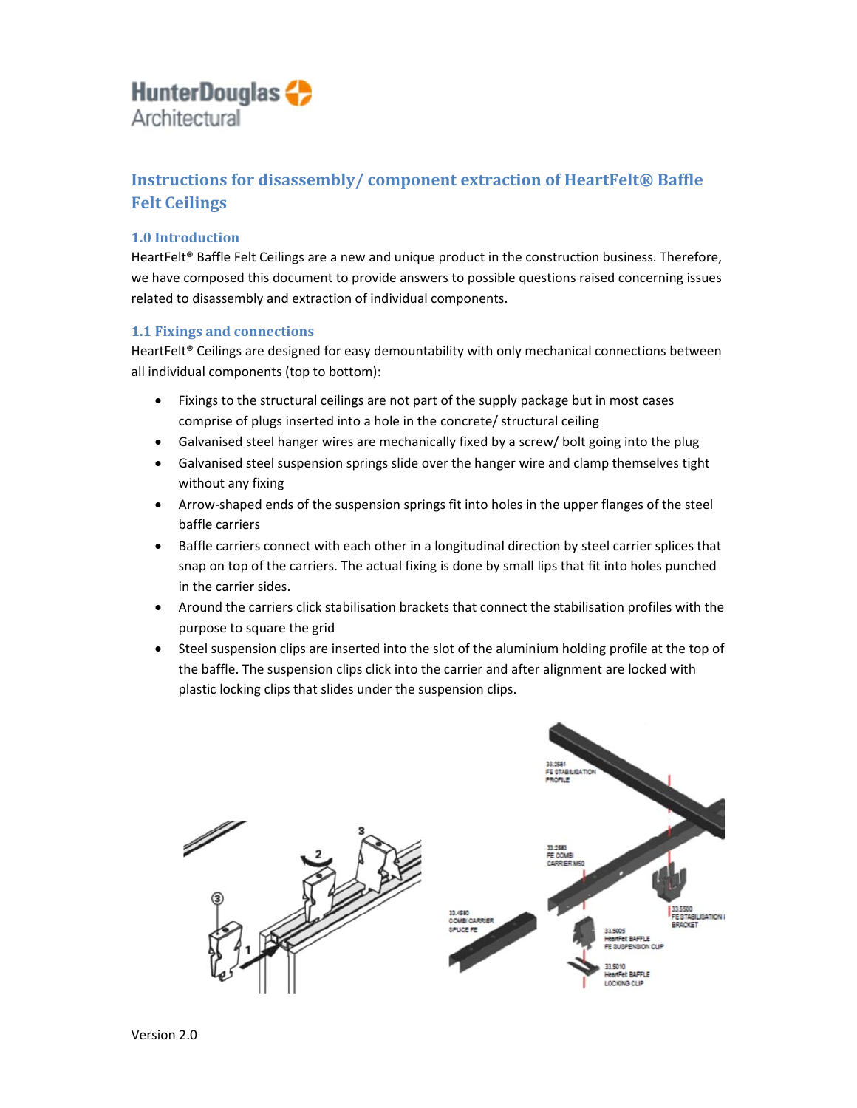## **HunterDouglas** Architectural

## **Instructions for disassembly/ component extraction of HeartFelt® Baffle Felt Ceilings**

## **1.0 Introduction**

HeartFelt<sup>®</sup> Baffle Felt Ceilings are a new and unique product in the construction business. Therefore, we have composed this document to provide answers to possible questions raised concerning issues related to disassembly and extraction of individual components.

### **1.1 Fixings and connections**

HeartFelt<sup>®</sup> Ceilings are designed for easy demountability with only mechanical connections between all individual components (top to bottom):

- Fixings to the structural ceilings are not part of the supply package but in most cases comprise of plugs inserted into a hole in the concrete/ structural ceiling
- Galvanised steel hanger wires are mechanically fixed by a screw/ bolt going into the plug
- Galvanised steel suspension springs slide over the hanger wire and clamp themselves tight without any fixing
- Arrow-shaped ends of the suspension springs fit into holes in the upper flanges of the steel baffle carriers
- Baffle carriers connect with each other in a longitudinal direction by steel carrier splices that snap on top of the carriers. The actual fixing is done by small lips that fit into holes punched in the carrier sides.
- Around the carriers click stabilisation brackets that connect the stabilisation profiles with the purpose to square the grid
- Steel suspension clips are inserted into the slot of the aluminium holding profile at the top of the baffle. The suspension clips click into the carrier and after alignment are locked with plastic locking clips that slides under the suspension clips.

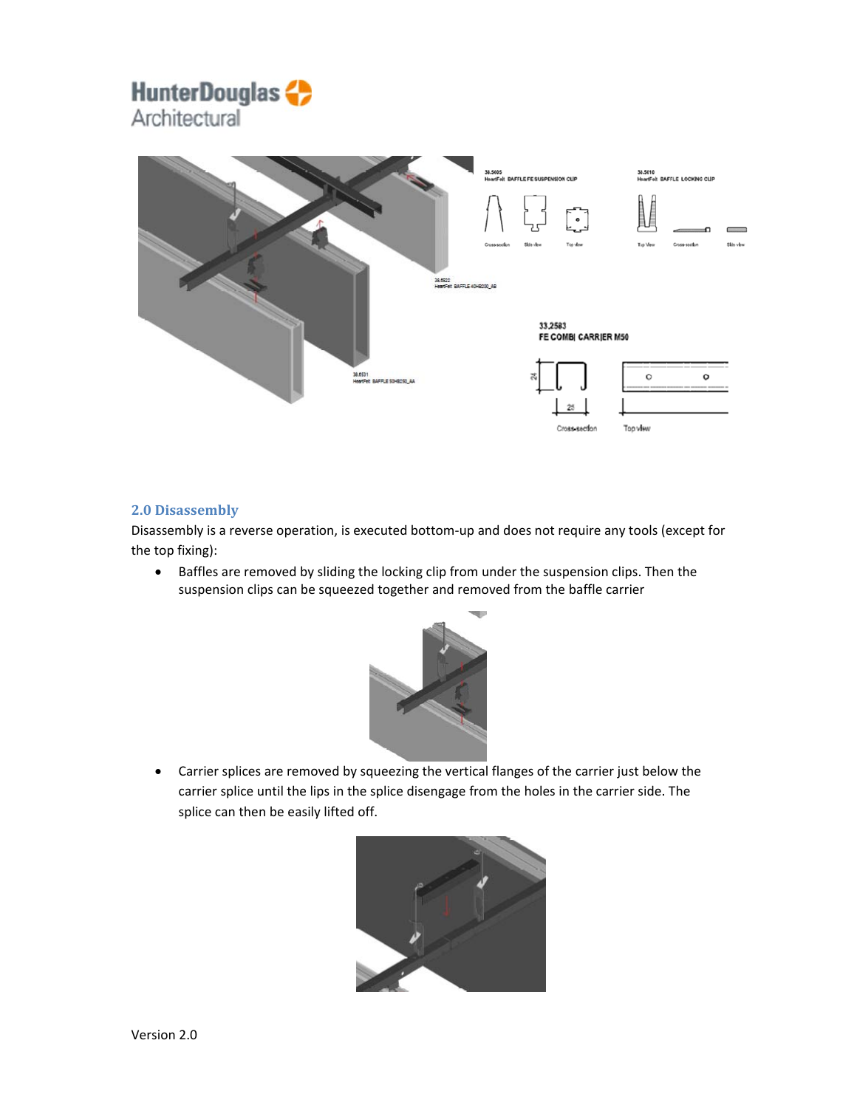## **HunterDouglas** Architectural



### **2.0 Disassembly**

Disassembly is a reverse operation, is executed bottom‐up and does not require any tools (except for the top fixing):

 Baffles are removed by sliding the locking clip from under the suspension clips. Then the suspension clips can be squeezed together and removed from the baffle carrier



 Carrier splices are removed by squeezing the vertical flanges of the carrier just below the carrier splice until the lips in the splice disengage from the holes in the carrier side. The splice can then be easily lifted off.

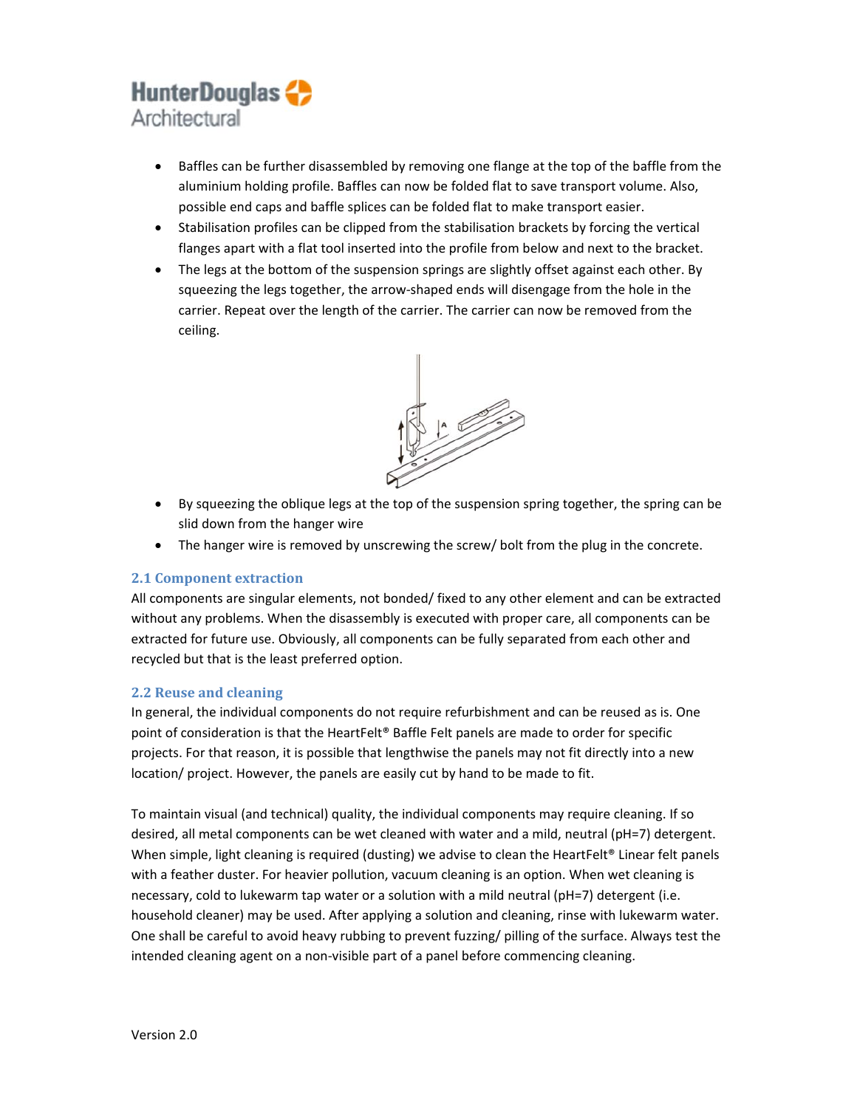## **HunterDouglas** Architectural

- Baffles can be further disassembled by removing one flange at the top of the baffle from the aluminium holding profile. Baffles can now be folded flat to save transport volume. Also, possible end caps and baffle splices can be folded flat to make transport easier.
- Stabilisation profiles can be clipped from the stabilisation brackets by forcing the vertical flanges apart with a flat tool inserted into the profile from below and next to the bracket.
- The legs at the bottom of the suspension springs are slightly offset against each other. By squeezing the legs together, the arrow‐shaped ends will disengage from the hole in the carrier. Repeat over the length of the carrier. The carrier can now be removed from the ceiling.



- By squeezing the oblique legs at the top of the suspension spring together, the spring can be slid down from the hanger wire
- The hanger wire is removed by unscrewing the screw/ bolt from the plug in the concrete.

#### **2.1 Component extraction**

All components are singular elements, not bonded/ fixed to any other element and can be extracted without any problems. When the disassembly is executed with proper care, all components can be extracted for future use. Obviously, all components can be fully separated from each other and recycled but that is the least preferred option.

### **2.2 Reuse and cleaning**

In general, the individual components do not require refurbishment and can be reused as is. One point of consideration is that the HeartFelt® Baffle Felt panels are made to order for specific projects. For that reason, it is possible that lengthwise the panels may not fit directly into a new location/ project. However, the panels are easily cut by hand to be made to fit.

To maintain visual (and technical) quality, the individual components may require cleaning. If so desired, all metal components can be wet cleaned with water and a mild, neutral (pH=7) detergent. When simple, light cleaning is required (dusting) we advise to clean the HeartFelt® Linear felt panels with a feather duster. For heavier pollution, vacuum cleaning is an option. When wet cleaning is necessary, cold to lukewarm tap water or a solution with a mild neutral (pH=7) detergent (i.e. household cleaner) may be used. After applying a solution and cleaning, rinse with lukewarm water. One shall be careful to avoid heavy rubbing to prevent fuzzing/ pilling of the surface. Always test the intended cleaning agent on a non‐visible part of a panel before commencing cleaning.